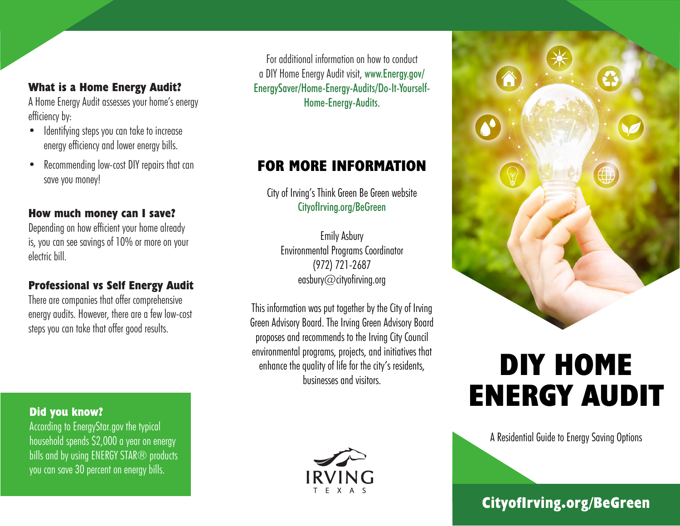# **What is a Home Energy Audit?**

A Home Energy Audit assesses your home's energy efficiency by:

- Identifying steps you can take to increase energy efficiency and lower energy bills.
- Recommending low-cost DIY repairs that can save you money!

## **How much money can I save?**

Depending on how efficient your home already is, you can see savings of 10% or more on your electric bill.

# **Professional vs Self Energy Audit**

There are companies that offer comprehensive energy audits. However, there are a few low-cost steps you can take that offer good results.

## **Did you know?**

According to EnergyStar.gov the typical household spends \$2,000 a year on energy bills and by using ENERGY STAR<sup>®</sup> products you can save 30 percent on energy bills.



# **FOR MORE INFORMATION**

City of Irving's Think Green Be Green website CityofIrving.org/BeGreen

Emily Asbury Environmental Programs Coordinator (972) 721-2687 easbury@cityofirving.org

This information was put together by the City of Irving Green Advisory Board. The Irving Green Advisory Board proposes and recommends to the Irving City Council environmental programs, projects, and initiatives that enhance the quality of life for the city's residents, businesses and visitors.





# **DIY HOME ENERGY AUDIT**

A Residential Guide to Energy Saving Options

**CityofIrving.org/BeGreen**